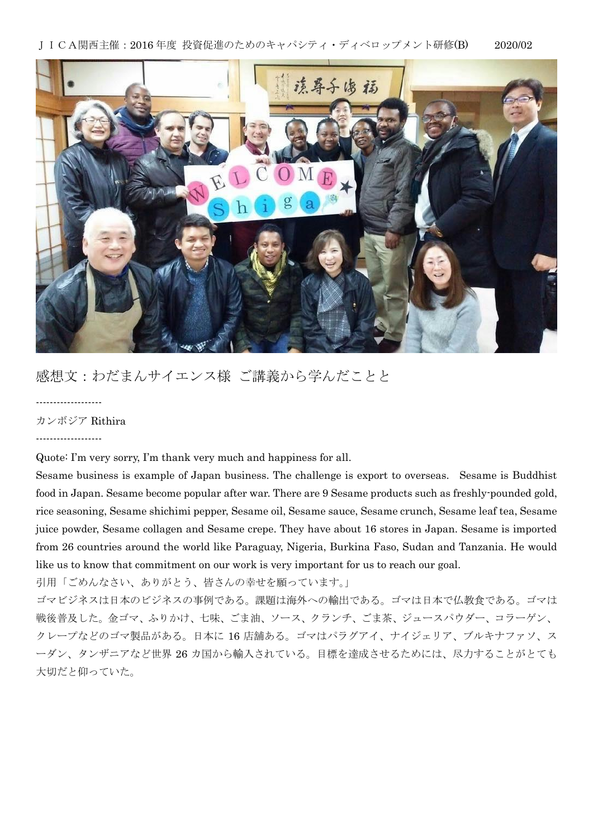JICA関西主催:2016 年度 投資促進のためのキャパシティ・ディベロップメント研修(B) 2020/02



## 感想文:わだまんサイエンス様 ご講義から学んだことと

-------------------

カンボジア Rithira

-------------------

Quote: I'm very sorry, I'm thank very much and happiness for all.

Sesame business is example of Japan business. The challenge is export to overseas. Sesame is Buddhist food in Japan. Sesame become popular after war. There are 9 Sesame products such as freshly-pounded gold, rice seasoning, Sesame shichimi pepper, Sesame oil, Sesame sauce, Sesame crunch, Sesame leaf tea, Sesame juice powder, Sesame collagen and Sesame crepe. They have about 16 stores in Japan. Sesame is imported from 26 countries around the world like Paraguay, Nigeria, Burkina Faso, Sudan and Tanzania. He would like us to know that commitment on our work is very important for us to reach our goal.

引用「ごめんなさい、ありがとう、皆さんの幸せを願っています。」

ゴマビジネスは日本のビジネスの事例である。課題は海外への輸出である。ゴマは日本で仏教食である。ゴマは 戦後普及した。金ゴマ、ふりかけ、七味、ごま油、ソース、クランチ、ごま茶、ジュースパウダー、コラーゲン、 クレープなどのゴマ製品がある。日本に 16 店舗ある。ゴマはパラグアイ、ナイジェリア、ブルキナファソ、ス ーダン、タンザニアなど世界 26 カ国から輸入されている。目標を達成させるためには、尽力することがとても 大切だと仰っていた。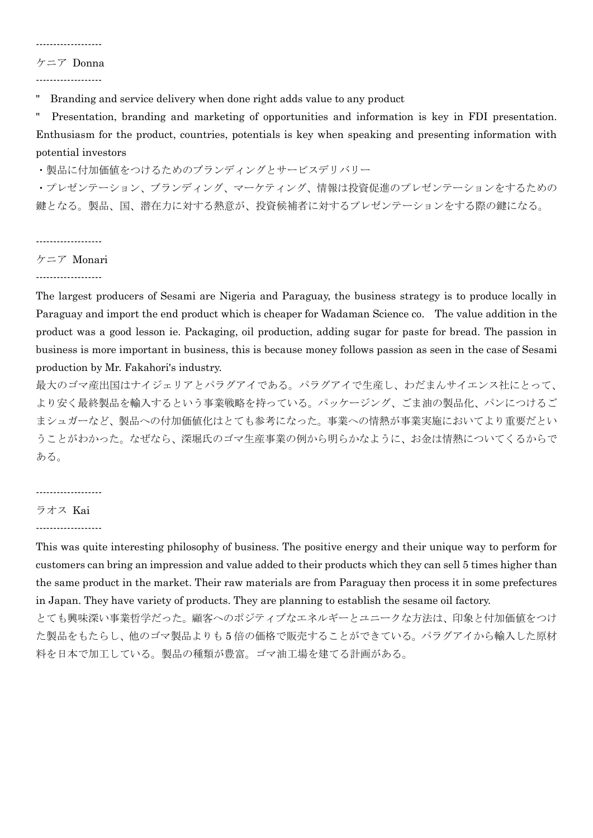## -------------------

ケニア Donna

-------------------

Branding and service delivery when done right adds value to any product

" Presentation, branding and marketing of opportunities and information is key in FDI presentation. Enthusiasm for the product, countries, potentials is key when speaking and presenting information with potential investors

・製品に付加価値をつけるためのブランディングとサービスデリバリー

・プレゼンテーション、ブランディング、マーケティング、情報は投資促進のプレゼンテーションをするための 鍵となる。製品、国、潜在力に対する熱意が、投資候補者に対するプレゼンテーションをする際の鍵になる。

-------------------

ケニア Monari

-------------------

The largest producers of Sesami are Nigeria and Paraguay, the business strategy is to produce locally in Paraguay and import the end product which is cheaper for Wadaman Science co. The value addition in the product was a good lesson ie. Packaging, oil production, adding sugar for paste for bread. The passion in business is more important in business, this is because money follows passion as seen in the case of Sesami production by Mr. Fakahori's industry.

最大のゴマ産出国はナイジェリアとパラグアイである。パラグアイで生産し、わだまんサイエンス社にとって、 より安く最終製品を輸入するという事業戦略を持っている。パッケージング、ごま油の製品化、パンにつけるご まシュガーなど、製品への付加価値化はとても参考になった。事業への情熱が事業実施においてより重要だとい うことがわかった。なぜなら、深堀氏のゴマ生産事業の例から明らかなように、お金は情熱についてくるからで ある。

-------------------

## ラオス Kai

-------------------

This was quite interesting philosophy of business. The positive energy and their unique way to perform for customers can bring an impression and value added to their products which they can sell 5 times higher than the same product in the market. Their raw materials are from Paraguay then process it in some prefectures in Japan. They have variety of products. They are planning to establish the sesame oil factory.

とても興味深い事業哲学だった。顧客へのポジティブなエネルギーとユニークな方法は、印象と付加価値をつけ た製品をもたらし、他のゴマ製品よりも 5 倍の価格で販売することができている。パラグアイから輸入した原材 料を日本で加工している。製品の種類が豊富。ゴマ油工場を建てる計画がある。